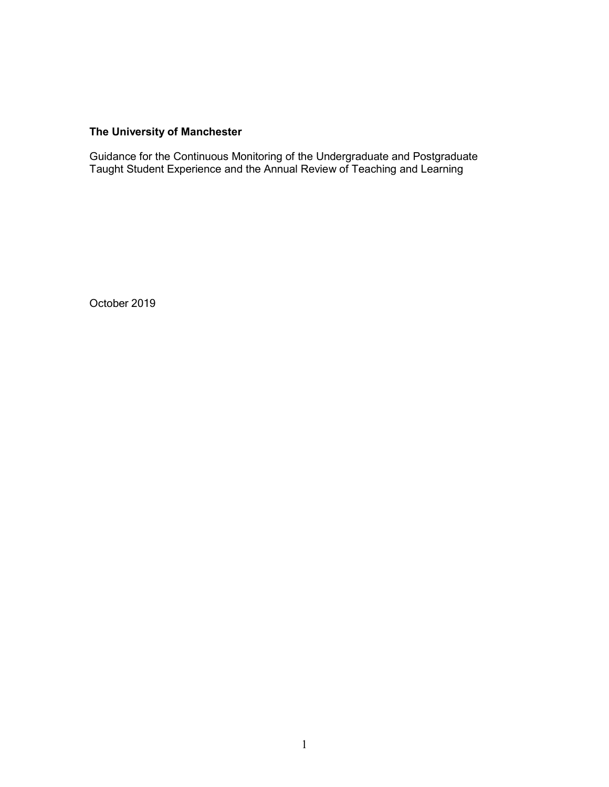# **The University of Manchester**

Guidance for the Continuous Monitoring of the Undergraduate and Postgraduate Taught Student Experience and the Annual Review of Teaching and Learning

October 2019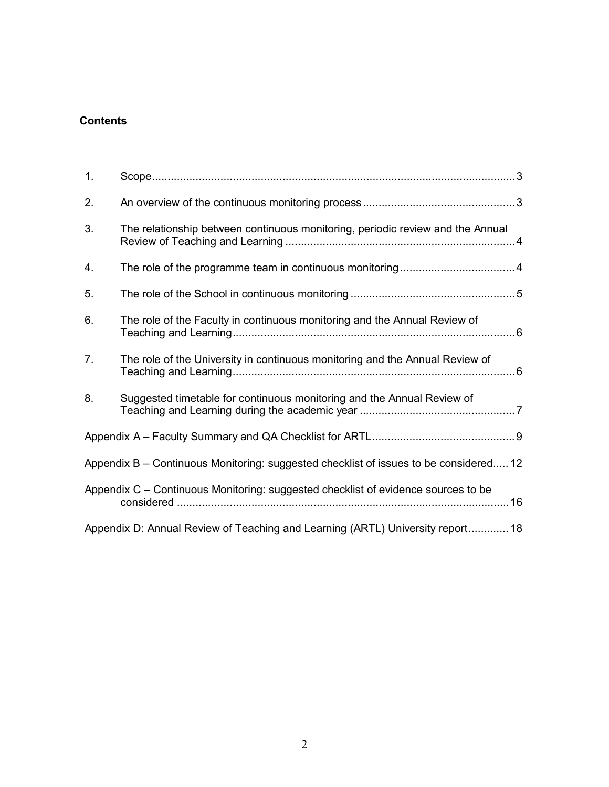# **Contents**

| 1. |                                                                                       |  |
|----|---------------------------------------------------------------------------------------|--|
| 2. |                                                                                       |  |
| 3. | The relationship between continuous monitoring, periodic review and the Annual        |  |
| 4. |                                                                                       |  |
| 5. |                                                                                       |  |
| 6. | The role of the Faculty in continuous monitoring and the Annual Review of             |  |
| 7. | The role of the University in continuous monitoring and the Annual Review of          |  |
| 8. | Suggested timetable for continuous monitoring and the Annual Review of                |  |
|    |                                                                                       |  |
|    | Appendix B – Continuous Monitoring: suggested checklist of issues to be considered 12 |  |
|    | Appendix C - Continuous Monitoring: suggested checklist of evidence sources to be     |  |
|    | Appendix D: Annual Review of Teaching and Learning (ARTL) University report 18        |  |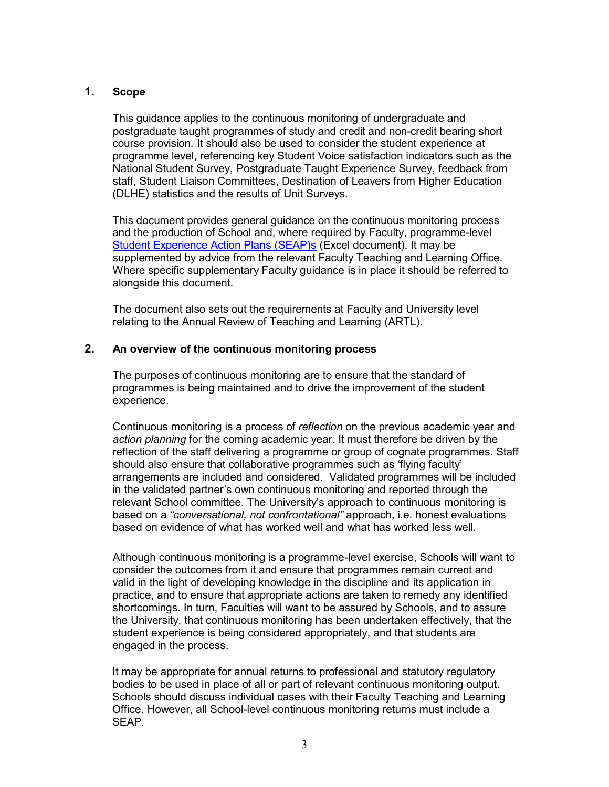### <span id="page-2-0"></span>**1. Scope**

This guidance applies to the continuous monitoring of undergraduate and postgraduate taught programmes of study and credit and non-credit bearing short course provision. It should also be used to consider the student experience at programme level, referencing key Student Voice satisfaction indicators such as the National Student Survey, Postgraduate Taught Experience Survey, feedback from staff, Student Liaison Committees, Destination of Leavers from Higher Education (DLHE) statistics and the results of Unit Surveys.

This document provides general guidance on the continuous monitoring process and the production of School and, where required by Faculty, programme-level [Student Experience Action](http://documents.manchester.ac.uk/display.aspx?DocID=32194) Plans (SEAP)s (Excel document). It may be supplemented by advice from the relevant Faculty Teaching and Learning Office. Where specific supplementary Faculty guidance is in place it should be referred to alongside this document.

The document also sets out the requirements at Faculty and University level relating to the Annual Review of Teaching and Learning (ARTL).

### <span id="page-2-1"></span>**2. An overview of the continuous monitoring process**

The purposes of continuous monitoring are to ensure that the standard of programmes is being maintained and to drive the improvement of the student experience.

Continuous monitoring is a process of *reflection* on the previous academic year and *action planning* for the coming academic year. It must therefore be driven by the reflection of the staff delivering a programme or group of cognate programmes. Staff should also ensure that collaborative programmes such as 'flying faculty' arrangements are included and considered. Validated programmes will be included in the validated partner's own continuous monitoring and reported through the relevant School committee. The University's approach to continuous monitoring is based on a *"conversational, not confrontational"* approach, i.e. honest evaluations based on evidence of what has worked well and what has worked less well.

Although continuous monitoring is a programme-level exercise, Schools will want to consider the outcomes from it and ensure that programmes remain current and valid in the light of developing knowledge in the discipline and its application in practice, and to ensure that appropriate actions are taken to remedy any identified shortcomings. In turn, Faculties will want to be assured by Schools, and to assure the University, that continuous monitoring has been undertaken effectively, that the student experience is being considered appropriately, and that students are engaged in the process.

It may be appropriate for annual returns to professional and statutory regulatory bodies to be used in place of all or part of relevant continuous monitoring output. Schools should discuss individual cases with their Faculty Teaching and Learning Office. However, all School-level continuous monitoring returns must include a SEAP.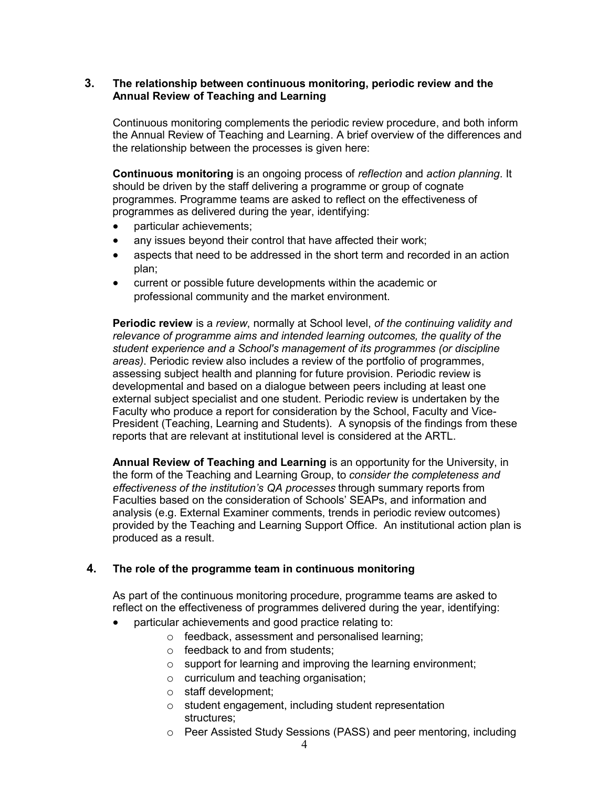### <span id="page-3-0"></span>**3. The relationship between continuous monitoring, periodic review and the Annual Review of Teaching and Learning**

Continuous monitoring complements the periodic review procedure, and both inform the Annual Review of Teaching and Learning. A brief overview of the differences and the relationship between the processes is given here:

**Continuous monitoring** is an ongoing process of *reflection* and *action planning*. It should be driven by the staff delivering a programme or group of cognate programmes. Programme teams are asked to reflect on the effectiveness of programmes as delivered during the year, identifying:

- particular achievements;
- any issues beyond their control that have affected their work;
- aspects that need to be addressed in the short term and recorded in an action plan;
- current or possible future developments within the academic or professional community and the market environment.

**Periodic review** is a *review*, normally at School level, *of the continuing validity and relevance of programme aims and intended learning outcomes, the quality of the student experience and a School's management of its programmes (or discipline areas)*. Periodic review also includes a review of the portfolio of programmes, assessing subject health and planning for future provision. Periodic review is developmental and based on a dialogue between peers including at least one external subject specialist and one student. Periodic review is undertaken by the Faculty who produce a report for consideration by the School, Faculty and Vice-President (Teaching, Learning and Students). A synopsis of the findings from these reports that are relevant at institutional level is considered at the ARTL.

**Annual Review of Teaching and Learning** is an opportunity for the University, in the form of the Teaching and Learning Group, to *consider the completeness and effectiveness of the institution's QA processes* through summary reports from Faculties based on the consideration of Schools' SEAPs, and information and analysis (e.g. External Examiner comments, trends in periodic review outcomes) provided by the Teaching and Learning Support Office. An institutional action plan is produced as a result.

### <span id="page-3-1"></span>**4. The role of the programme team in continuous monitoring**

As part of the continuous monitoring procedure, programme teams are asked to reflect on the effectiveness of programmes delivered during the year, identifying:

- particular achievements and good practice relating to:
	- o feedback, assessment and personalised learning;
	- o feedback to and from students;
	- o support for learning and improving the learning environment;
	- o curriculum and teaching organisation;
	- o staff development;
	- o student engagement, including student representation structures;
	- o Peer Assisted Study Sessions (PASS) and peer mentoring, including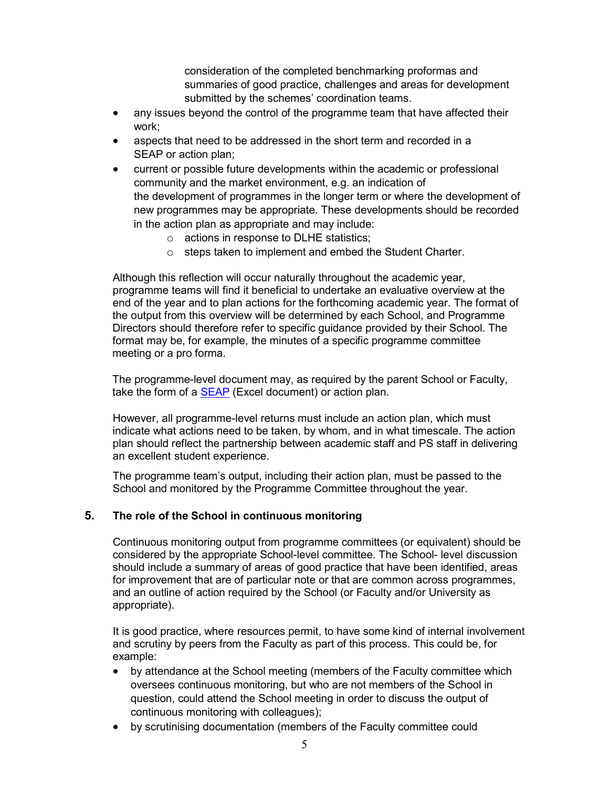consideration of the completed benchmarking proformas and summaries of good practice, challenges and areas for development submitted by the schemes' coordination teams.

- any issues beyond the control of the programme team that have affected their work;
- aspects that need to be addressed in the short term and recorded in a SEAP or action plan;
- current or possible future developments within the academic or professional community and the market environment, e.g. an indication of the development of programmes in the longer term or where the development of new programmes may be appropriate. These developments should be recorded in the action plan as appropriate and may include:
	- o actions in response to DLHE statistics;
	- o steps taken to implement and embed the Student Charter.

Although this reflection will occur naturally throughout the academic year, programme teams will find it beneficial to undertake an evaluative overview at the end of the year and to plan actions for the forthcoming academic year. The format of the output from this overview will be determined by each School, and Programme Directors should therefore refer to specific guidance provided by their School. The format may be, for example, the minutes of a specific programme committee meeting or a pro forma.

The programme-level document may, as required by the parent School or Faculty, take the form of a **[SEAP](http://documents.manchester.ac.uk/display.aspx?DocID=32194)** (Excel document) or action plan.

However, all programme-level returns must include an action plan, which must indicate what actions need to be taken, by whom, and in what timescale. The action plan should reflect the partnership between academic staff and PS staff in delivering an excellent student experience.

The programme team's output, including their action plan, must be passed to the School and monitored by the Programme Committee throughout the year.

### <span id="page-4-0"></span>**5. The role of the School in continuous monitoring**

Continuous monitoring output from programme committees (or equivalent) should be considered by the appropriate School-level committee. The School- level discussion should include a summary of areas of good practice that have been identified, areas for improvement that are of particular note or that are common across programmes, and an outline of action required by the School (or Faculty and/or University as appropriate).

It is good practice, where resources permit, to have some kind of internal involvement and scrutiny by peers from the Faculty as part of this process. This could be, for example:

- by attendance at the School meeting (members of the Faculty committee which oversees continuous monitoring, but who are not members of the School in question, could attend the School meeting in order to discuss the output of continuous monitoring with colleagues);
- by scrutinising documentation (members of the Faculty committee could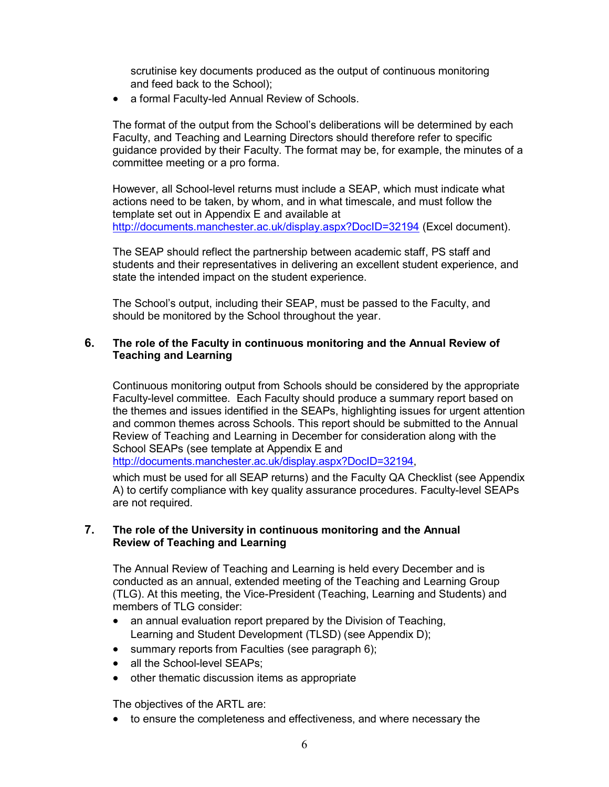scrutinise key documents produced as the output of continuous monitoring and feed back to the School);

• a formal Faculty-led Annual Review of Schools.

The format of the output from the School's deliberations will be determined by each Faculty, and Teaching and Learning Directors should therefore refer to specific guidance provided by their Faculty. The format may be, for example, the minutes of a committee meeting or a pro forma.

However, all School-level returns must include a SEAP, which must indicate what actions need to be taken, by whom, and in what timescale, and must follow the template set out in Appendix E and available at <http://documents.manchester.ac.uk/display.aspx?DocID=32194> (Excel document).

The SEAP should reflect the partnership between academic staff, PS staff and students and their representatives in delivering an excellent student experience, and state the intended impact on the student experience.

The School's output, including their SEAP, must be passed to the Faculty, and should be monitored by the School throughout the year.

### <span id="page-5-0"></span>**6. The role of the Faculty in continuous monitoring and the Annual Review of Teaching and Learning**

Continuous monitoring output from Schools should be considered by the appropriate Faculty-level committee. Each Faculty should produce a summary report based on the themes and issues identified in the SEAPs, highlighting issues for urgent attention and common themes across Schools. This report should be submitted to the Annual Review of Teaching and Learning in December for consideration along with the School SEAPs (see template at Appendix E and

[http://documents.manchester.ac.uk/display.aspx?DocID=32194,](http://documents.manchester.ac.uk/display.aspx?DocID=32194)

which must be used for all SEAP returns) and the Faculty QA Checklist (see Appendix A) to certify compliance with key quality assurance procedures. Faculty-level SEAPs are not required.

### <span id="page-5-1"></span>**7. The role of the University in continuous monitoring and the Annual Review of Teaching and Learning**

The Annual Review of Teaching and Learning is held every December and is conducted as an annual, extended meeting of the Teaching and Learning Group (TLG). At this meeting, the Vice-President (Teaching, Learning and Students) and members of TLG consider:

- an annual evaluation report prepared by the Division of Teaching, Learning and Student Development (TLSD) (see Appendix D);
- summary reports from Faculties (see paragraph 6);
- all the School-level SEAPs:
- other thematic discussion items as appropriate

The objectives of the ARTL are:

• to ensure the completeness and effectiveness, and where necessary the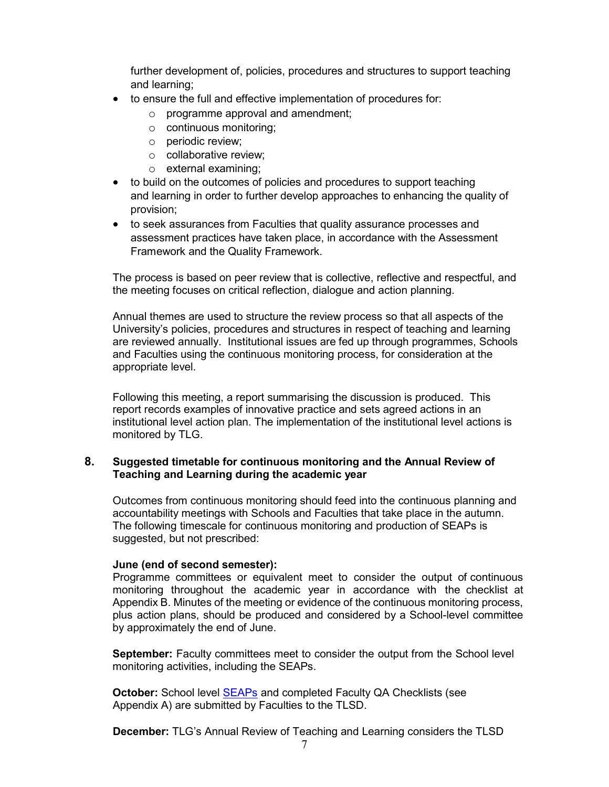further development of, policies, procedures and structures to support teaching and learning;

- to ensure the full and effective implementation of procedures for:
	- o programme approval and amendment;
	- o continuous monitoring;
	- o periodic review;
	- o collaborative review;
	- o external examining;
- to build on the outcomes of policies and procedures to support teaching and learning in order to further develop approaches to enhancing the quality of provision;
- to seek assurances from Faculties that quality assurance processes and assessment practices have taken place, in accordance with the Assessment Framework and the Quality Framework.

The process is based on peer review that is collective, reflective and respectful, and the meeting focuses on critical reflection, dialogue and action planning.

Annual themes are used to structure the review process so that all aspects of the University's policies, procedures and structures in respect of teaching and learning are reviewed annually. Institutional issues are fed up through programmes, Schools and Faculties using the continuous monitoring process, for consideration at the appropriate level.

Following this meeting, a report summarising the discussion is produced. This report records examples of innovative practice and sets agreed actions in an institutional level action plan. The implementation of the institutional level actions is monitored by TLG.

### <span id="page-6-0"></span>**8. Suggested timetable for continuous monitoring and the Annual Review of Teaching and Learning during the academic year**

Outcomes from continuous monitoring should feed into the continuous planning and accountability meetings with Schools and Faculties that take place in the autumn. The following timescale for continuous monitoring and production of SEAPs is suggested, but not prescribed:

### **June (end of second semester):**

Programme committees or equivalent meet to consider the output of continuous monitoring throughout the academic year in accordance with the checklist at Appendix B. Minutes of the meeting or evidence of the continuous monitoring process, plus action plans, should be produced and considered by a School-level committee by approximately the end of June.

**September:** Faculty committees meet to consider the output from the School level monitoring activities, including the SEAPs.

**October:** School level **[SEAPs](http://documents.manchester.ac.uk/display.aspx?DocID=32194)** and completed Faculty QA Checklists (see Appendix A) are submitted by Faculties to the TLSD.

**December:** TLG's Annual Review of Teaching and Learning considers the TLSD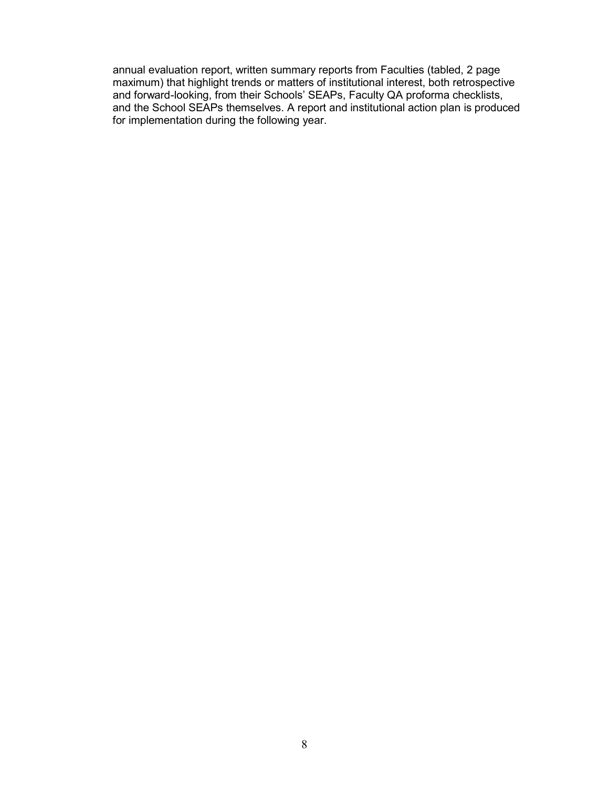annual evaluation report, written summary reports from Faculties (tabled, 2 page maximum) that highlight trends or matters of institutional interest, both retrospective and forward-looking, from their Schools' SEAPs, Faculty QA proforma checklists, and the School SEAPs themselves. A report and institutional action plan is produced for implementation during the following year.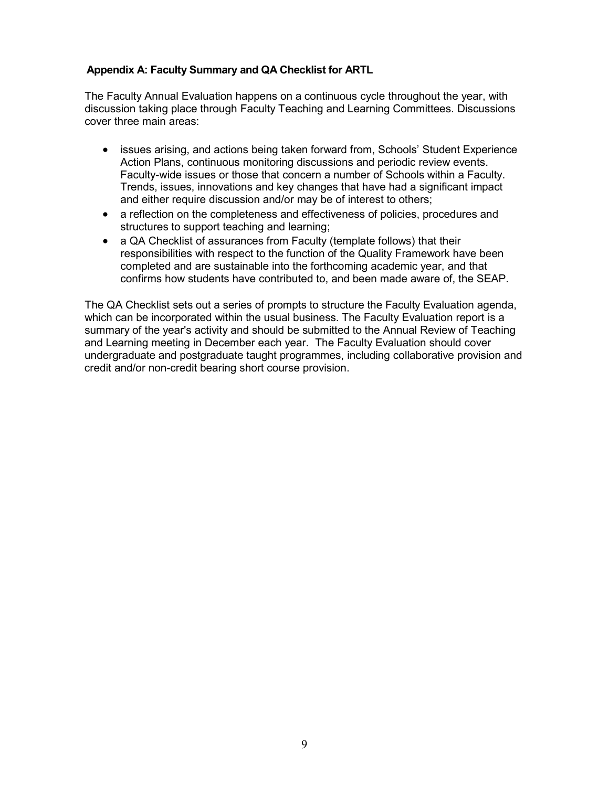### <span id="page-8-0"></span>**Appendix A: Faculty Summary and QA Checklist for ARTL**

The Faculty Annual Evaluation happens on a continuous cycle throughout the year, with discussion taking place through Faculty Teaching and Learning Committees. Discussions cover three main areas:

- issues arising, and actions being taken forward from, Schools' Student Experience Action Plans, continuous monitoring discussions and periodic review events. Faculty-wide issues or those that concern a number of Schools within a Faculty. Trends, issues, innovations and key changes that have had a significant impact and either require discussion and/or may be of interest to others;
- a reflection on the completeness and effectiveness of policies, procedures and structures to support teaching and learning;
- a QA Checklist of assurances from Faculty (template follows) that their responsibilities with respect to the function of the Quality Framework have been completed and are sustainable into the forthcoming academic year, and that confirms how students have contributed to, and been made aware of, the SEAP.

The QA Checklist sets out a series of prompts to structure the Faculty Evaluation agenda, which can be incorporated within the usual business. The Faculty Evaluation report is a summary of the year's activity and should be submitted to the Annual Review of Teaching and Learning meeting in December each year. The Faculty Evaluation should cover undergraduate and postgraduate taught programmes, including collaborative provision and credit and/or non-credit bearing short course provision.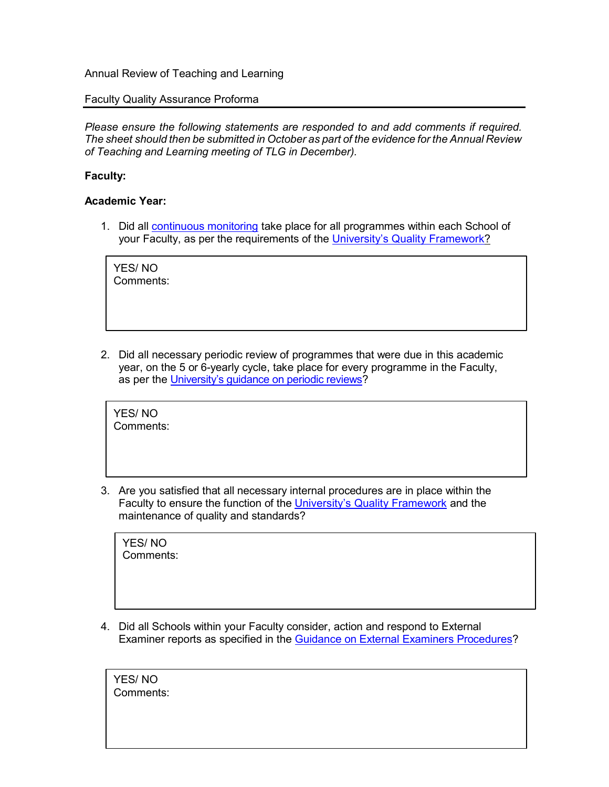#### Faculty Quality Assurance Proforma

*Please ensure the following statements are responded to and add comments if required. The sheet should then be submitted in October as part of the evidence for the Annual Review of Teaching and Learning meeting of TLG in December).*

### **Faculty:**

#### **Academic Year:**

1. Did all [continuous](http://www.staffnet.manchester.ac.uk/tlso/quality/monitoring-review/continuous-monitoring/) monitoring take place for all programmes within each School of your Faculty, as per the requirements of the [University's Quality Framework?](http://www.staffnet.manchester.ac.uk/tlso/quality/)

YES/ NO Comments:

2. Did all necessary periodic review of programmes that were due in this academic year, on the 5 or 6-yearly cycle, take place for every programme in the Faculty, as per the [University's guidance on periodic reviews?](http://www.staffnet.manchester.ac.uk/tlso/quality/monitoring-review/periodic-review/)

YES/ NO Comments:

3. Are you satisfied that all necessary internal procedures are in place within the Faculty to ensure the function of the [University's Quality Framework](http://www.staffnet.manchester.ac.uk/tlso/quality/) and the maintenance of quality and standards?

YES/ NO Comments:

4. Did all Schools within your Faculty consider, action and respond to External Examiner reports as specified in the Guidance on External Examiners [Procedures?](http://documents.manchester.ac.uk/display.aspx?DocID=13287)

YES/ NO Comments: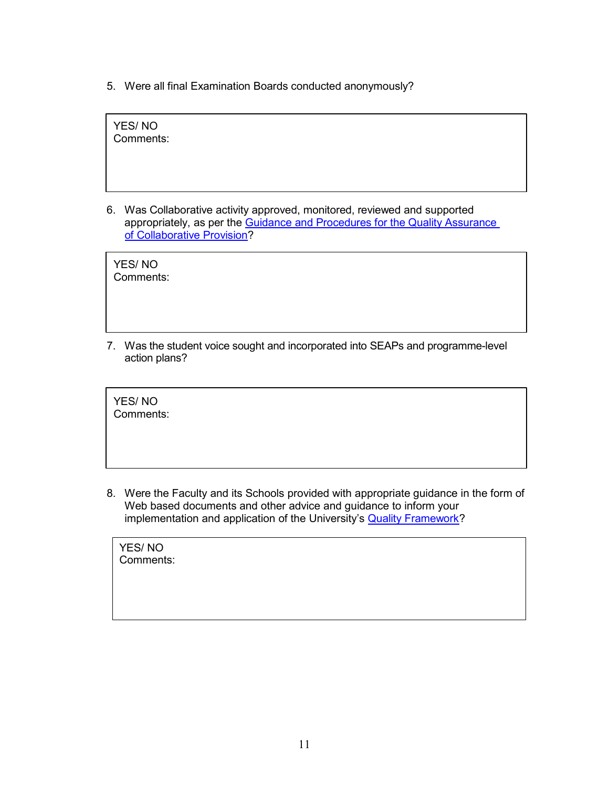5. Were all final Examination Boards conducted anonymously?

YES/ NO Comments:

6. Was Collaborative activity approved, monitored, reviewed and supported appropriately, as per the [Guidance and](http://www.staffnet.manchester.ac.uk/tlso/quality/collaborative-validated-provision/) Procedures for the Quality Assurance [of](http://www.staffnet.manchester.ac.uk/tlso/quality/collaborative-validated-provision/) [Collaborative Provision?](http://www.tlso.manchester.ac.uk/quality-framework/collaborative/)

YES/ NO Comments:

7. Was the student voice sought and incorporated into SEAPs and programme-level action plans?

YES/ NO Comments:

8. Were the Faculty and its Schools provided with appropriate guidance in the form of Web based documents and other advice and guidance to inform your implementation and application of the University's **Quality [Framework?](http://www.staffnet.manchester.ac.uk/tlso/quality/)** 

YES/ NO Comments: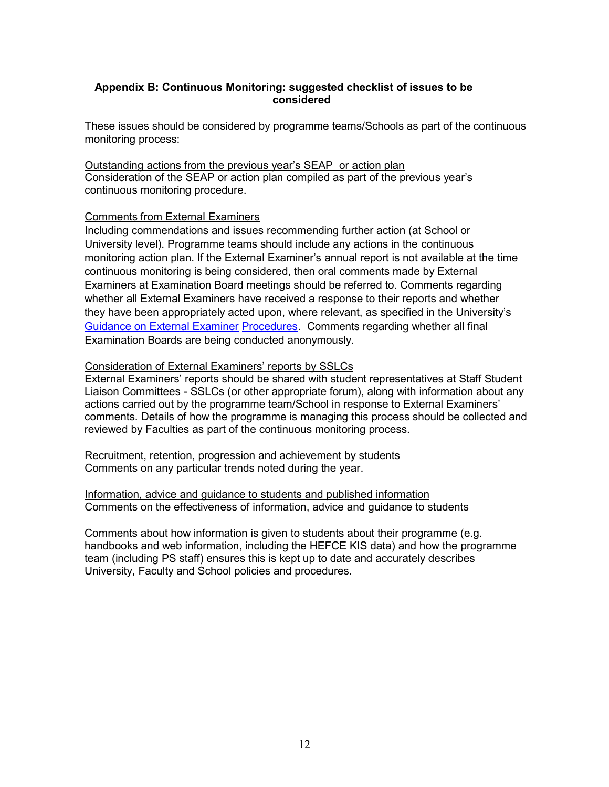#### <span id="page-11-0"></span>**Appendix B: Continuous Monitoring: suggested checklist of issues to be considered**

These issues should be considered by programme teams/Schools as part of the continuous monitoring process:

Outstanding actions from the previous year's SEAP or action plan Consideration of the SEAP or action plan compiled as part of the previous year's continuous monitoring procedure.

#### Comments from External Examiners

Including commendations and issues recommending further action (at School or University level). Programme teams should include any actions in the continuous monitoring action plan. If the External Examiner's annual report is not available at the time continuous monitoring is being considered, then oral comments made by External Examiners at Examination Board meetings should be referred to. Comments regarding whether all External Examiners have received a response to their reports and whether they have been appropriately acted upon, where relevant, as specified in the University's Guidance on [External Examiner](http://documents.manchester.ac.uk/display.aspx?DocID=13287) [Procedures.](http://documents.manchester.ac.uk/display.aspx?DocID=13287) Comments regarding whether all final Examination Boards are being conducted anonymously.

#### Consideration of External Examiners' reports by SSLCs

External Examiners' reports should be shared with student representatives at Staff Student Liaison Committees - SSLCs (or other appropriate forum), along with information about any actions carried out by the programme team/School in response to External Examiners' comments. Details of how the programme is managing this process should be collected and reviewed by Faculties as part of the continuous monitoring process.

Recruitment, retention, progression and achievement by students Comments on any particular trends noted during the year.

Information, advice and guidance to students and published information Comments on the effectiveness of information, advice and guidance to students

Comments about how information is given to students about their programme (e.g. handbooks and web information, including the HEFCE KIS data) and how the programme team (including PS staff) ensures this is kept up to date and accurately describes University, Faculty and School policies and procedures.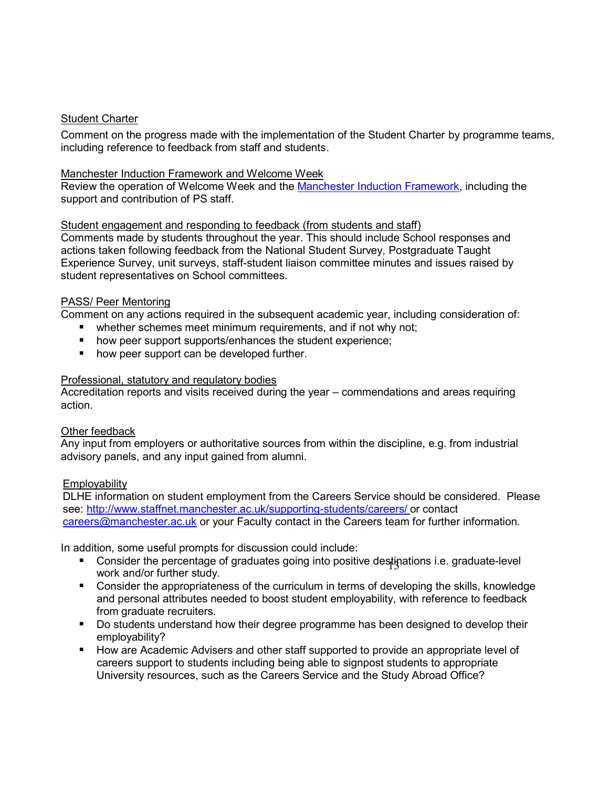## Student Charter

Comment on the progress made with the implementation of the Student Charter by programme teams, including reference to feedback from staff and students.

### Manchester Induction Framework and Welcome Week

Review the operation of Welcome Week and the [Manchester Induction](http://documents.manchester.ac.uk/display.aspx?DocID=1933) Framework, including the support and contribution of PS staff.

### Student engagement and responding to feedback (from students and staff)

Comments made by students throughout the year. This should include School responses and actions taken following feedback from the National Student Survey, Postgraduate Taught Experience Survey, unit surveys, staff-student liaison committee minutes and issues raised by student representatives on School committees.

### PASS/ Peer Mentoring

Comment on any actions required in the subsequent academic year, including consideration of:

- **•** whether schemes meet minimum requirements, and if not why not;
- **how peer support supports/enhances the student experience;**
- how peer support can be developed further.

#### Professional, statutory and regulatory bodies

Accreditation reports and visits received during the year – commendations and areas requiring action.

#### Other feedback

Any input from employers or authoritative sources from within the discipline, e.g. from industrial advisory panels, and any input gained from alumni.

### **Employability**

DLHE information on student employment from the Careers Service should be considered. Please see:<http://www.staffnet.manchester.ac.uk/supporting-students/careers/> or contact [careers@manchester.ac.uk](mailto:careers@manchester.ac.uk) or your Faculty contact in the Careers team for further information.

In addition, some useful prompts for discussion could include:

- Consider the percentage of graduates going into positive destinations i.e. graduate-level work and/or further study.
- Consider the appropriateness of the curriculum in terms of developing the skills, knowledge and personal attributes needed to boost student employability, with reference to feedback from graduate recruiters.
- Do students understand how their degree programme has been designed to develop their employability?
- How are Academic Advisers and other staff supported to provide an appropriate level of careers support to students including being able to signpost students to appropriate University resources, such as the Careers Service and the Study Abroad Office?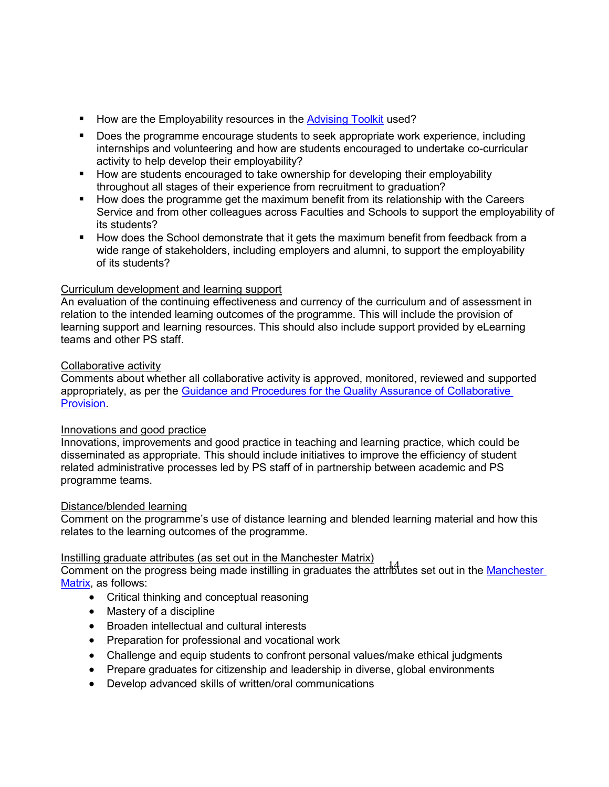- How are the Employability resources in the [Advising Toolkit](http://www.staffnet.manchester.ac.uk/tlso/toolkits/academicadvising/) used?
- **Does the programme encourage students to seek appropriate work experience, including** internships and volunteering and how are students encouraged to undertake co-curricular activity to help develop their employability?
- How are students encouraged to take ownership for developing their employability throughout all stages of their experience from recruitment to graduation?
- **How does the programme get the maximum benefit from its relationship with the Careers** Service and from other colleagues across Faculties and Schools to support the employability of its students?
- How does the School demonstrate that it gets the maximum benefit from feedback from a wide range of stakeholders, including employers and alumni, to support the employability of its students?

## Curriculum development and learning support

An evaluation of the continuing effectiveness and currency of the curriculum and of assessment in relation to the intended learning outcomes of the programme. This will include the provision of learning support and learning resources. This should also include support provided by eLearning teams and other PS staff.

### Collaborative activity

Comments about whether all collaborative activity is approved, monitored, reviewed and supported appropriately, as per the [Guidance and Procedures](http://www.staffnet.manchester.ac.uk/tlso/quality/collaborative-validated-provision/) for the Quality Assurance of [Collaborative](http://www.tlso.manchester.ac.uk/quality-framework/collab/collaboration-policy/)  [Provision.](http://www.tlso.manchester.ac.uk/quality-framework/collab/collaboration-policy/)

### Innovations and good practice

Innovations, improvements and good practice in teaching and learning practice, which could be disseminated as appropriate. This should include initiatives to improve the efficiency of student related administrative processes led by PS staff of in partnership between academic and PS programme teams.

### Distance/blended learning

Comment on the programme's use of distance learning and blended learning material and how this relates to the learning outcomes of the programme.

### Instilling graduate attributes (as set out in the Manchester Matrix)

nothing graduate attributes (as set out in the manohector matrix)<br>Comment on the progress being made instilling in graduates the attributes set out in the Manchester [Matrix,](http://documents.manchester.ac.uk/display.aspx?DocID=9804) as follows:

- Critical thinking and conceptual reasoning
- Mastery of a discipline
- Broaden intellectual and cultural interests
- Preparation for professional and vocational work
- Challenge and equip students to confront personal values/make ethical judgments
- Prepare graduates for citizenship and leadership in diverse, global environments
- Develop advanced skills of written/oral communications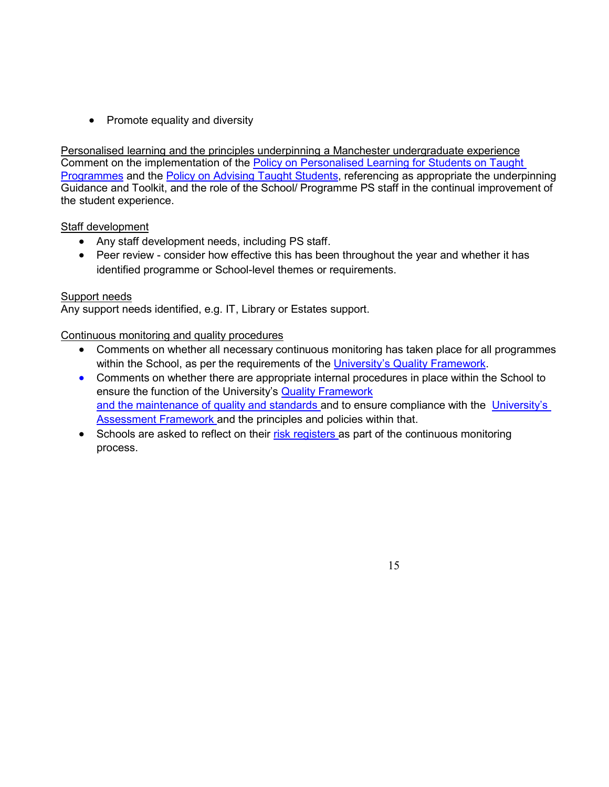• Promote equality and diversity

Personalised learning and the principles underpinning a Manchester undergraduate experience Comment on the implementation of the Policy on Personalised Learning for Students on Taught [Programmes](http://www.staffnet.manchester.ac.uk/tlso/policy-guidance/student-support-development/personalised-learning/) and the **Policy on Advising Taught Students**, referencing as appropriate the underpinning Guidance and Toolkit, and the role of the School/ Programme PS staff in the continual improvement of the student experience.

### Staff development

- Any staff development needs, including PS staff.
- Peer review consider how effective this has been throughout the year and whether it has identified programme or School-level themes or requirements.

## Support needs

Any support needs identified, e.g. IT, Library or Estates support.

## Continuous monitoring and quality procedures

- Comments on whether all necessary continuous monitoring has taken place for all programmes within the School, as per the requirements of the [University's Quality Framework.](http://www.staffnet.manchester.ac.uk/tlso/quality/)
- Comments on whether there are appropriate internal procedures in place within the School to ensure the function of the University's Quality [Framework](http://www.staffnet.manchester.ac.uk/tlso/quality/) and the [maintenance of](http://www.staffnet.manchester.ac.uk/tlso/quality/) quality and standards and to ensure compliance with the [University's](http://www.staffnet.manchester.ac.uk/tlso/policy-guidance/assessment/) Assessment Framework and the principles and policies within that.
- Schools are asked to reflect on their [risk registers a](http://www.staffnet.manchester.ac.uk/compliance-and-risk/risk-registers/)s part of the continuous monitoring process.

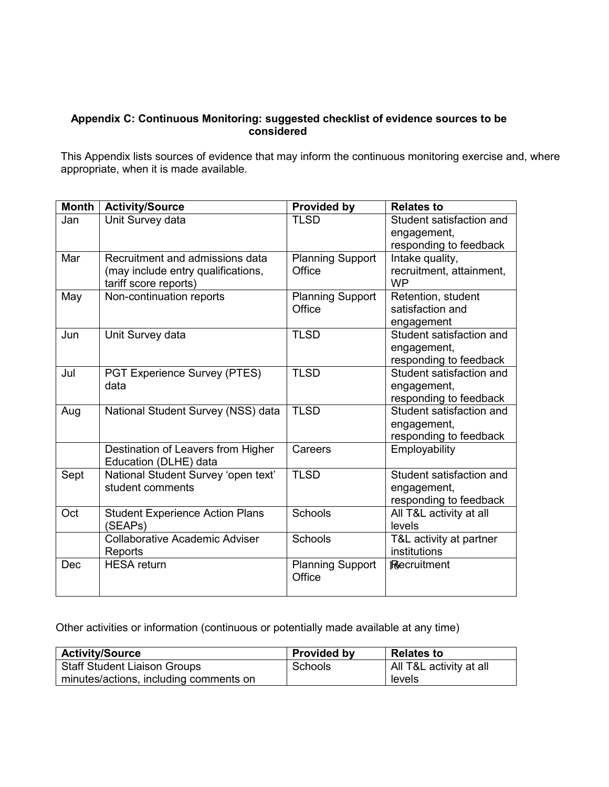## <span id="page-15-0"></span>**Appendix C: Continuous Monitoring: suggested checklist of evidence sources to be considered**

This Appendix lists sources of evidence that may inform the continuous monitoring exercise and, where appropriate, when it is made available.

| <b>Month</b> | <b>Activity/Source</b>                                                                         | <b>Provided by</b>                | <b>Relates to</b>                                                 |  |  |
|--------------|------------------------------------------------------------------------------------------------|-----------------------------------|-------------------------------------------------------------------|--|--|
| Jan          | Unit Survey data                                                                               | <b>TLSD</b>                       | Student satisfaction and<br>engagement,<br>responding to feedback |  |  |
| Mar          | Recruitment and admissions data<br>(may include entry qualifications,<br>tariff score reports) | <b>Planning Support</b><br>Office | Intake quality,<br>recruitment, attainment,<br><b>WP</b>          |  |  |
| May          | Non-continuation reports                                                                       | <b>Planning Support</b><br>Office | Retention, student<br>satisfaction and<br>engagement              |  |  |
| Jun          | Unit Survey data                                                                               | <b>TLSD</b>                       | Student satisfaction and<br>engagement,<br>responding to feedback |  |  |
| Jul          | PGT Experience Survey (PTES)<br>data                                                           | <b>TLSD</b>                       | Student satisfaction and<br>engagement,<br>responding to feedback |  |  |
| Aug          | National Student Survey (NSS) data                                                             | <b>TLSD</b>                       | Student satisfaction and<br>engagement,<br>responding to feedback |  |  |
|              | Destination of Leavers from Higher<br>Education (DLHE) data                                    | Careers                           | Employability                                                     |  |  |
| Sept         | National Student Survey 'open text'<br>student comments                                        | <b>TLSD</b>                       | Student satisfaction and<br>engagement,<br>responding to feedback |  |  |
| Oct          | <b>Student Experience Action Plans</b><br>(SEAPs)                                              | Schools                           | All T&L activity at all<br>levels                                 |  |  |
|              | <b>Collaborative Academic Adviser</b><br>Reports                                               | Schools                           | T&L activity at partner<br>institutions                           |  |  |
| Dec          | <b>HESA</b> return                                                                             | <b>Planning Support</b><br>Office | <b>Recruitment</b>                                                |  |  |

Other activities or information (continuous or potentially made available at any time)

| <b>Activity/Source</b>                 | <b>Provided by</b> | <b>Relates to</b>       |  |  |
|----------------------------------------|--------------------|-------------------------|--|--|
| <b>Staff Student Liaison Groups</b>    | Schools            | All T&L activity at all |  |  |
| minutes/actions, including comments on |                    | levels                  |  |  |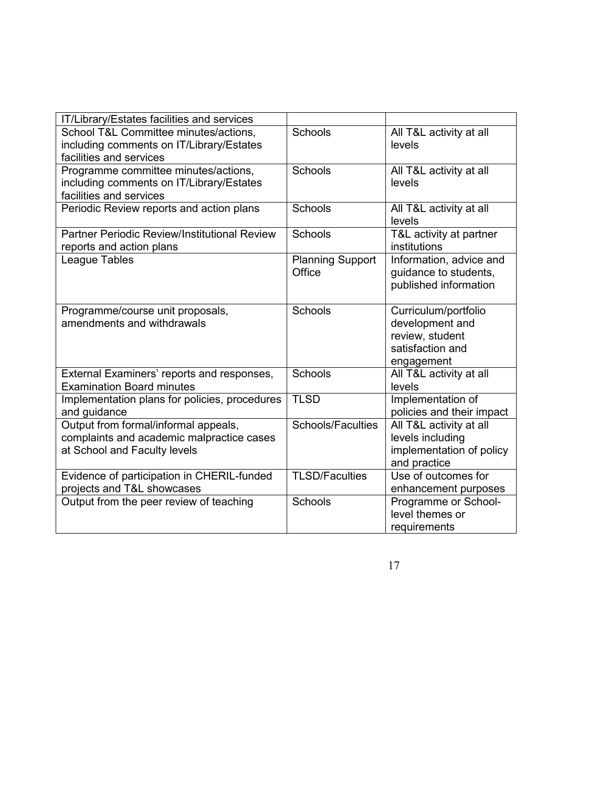| IT/Library/Estates facilities and services                                                                        |                                   |                                                                                              |
|-------------------------------------------------------------------------------------------------------------------|-----------------------------------|----------------------------------------------------------------------------------------------|
| School T&L Committee minutes/actions,<br>including comments on IT/Library/Estates<br>facilities and services      | Schools                           | All T&L activity at all<br>levels                                                            |
| Programme committee minutes/actions,<br>including comments on IT/Library/Estates<br>facilities and services       | Schools                           | All T&L activity at all<br>levels                                                            |
| Periodic Review reports and action plans                                                                          | <b>Schools</b>                    | All T&L activity at all<br>levels                                                            |
| Partner Periodic Review/Institutional Review<br>reports and action plans                                          | Schools                           | T&L activity at partner<br>institutions                                                      |
| League Tables                                                                                                     | <b>Planning Support</b><br>Office | Information, advice and<br>guidance to students,<br>published information                    |
| Programme/course unit proposals,<br>amendments and withdrawals                                                    | Schools                           | Curriculum/portfolio<br>development and<br>review, student<br>satisfaction and<br>engagement |
| External Examiners' reports and responses,<br><b>Examination Board minutes</b>                                    | <b>Schools</b>                    | All T&L activity at all<br>levels                                                            |
| Implementation plans for policies, procedures<br>and guidance                                                     | <b>TLSD</b>                       | Implementation of<br>policies and their impact                                               |
| Output from formal/informal appeals,<br>complaints and academic malpractice cases<br>at School and Faculty levels | <b>Schools/Faculties</b>          | All T&L activity at all<br>levels including<br>implementation of policy<br>and practice      |
| Evidence of participation in CHERIL-funded<br>projects and T&L showcases                                          | <b>TLSD/Faculties</b>             | Use of outcomes for<br>enhancement purposes                                                  |
| Output from the peer review of teaching                                                                           | Schools                           | Programme or School-<br>level themes or<br>requirements                                      |

17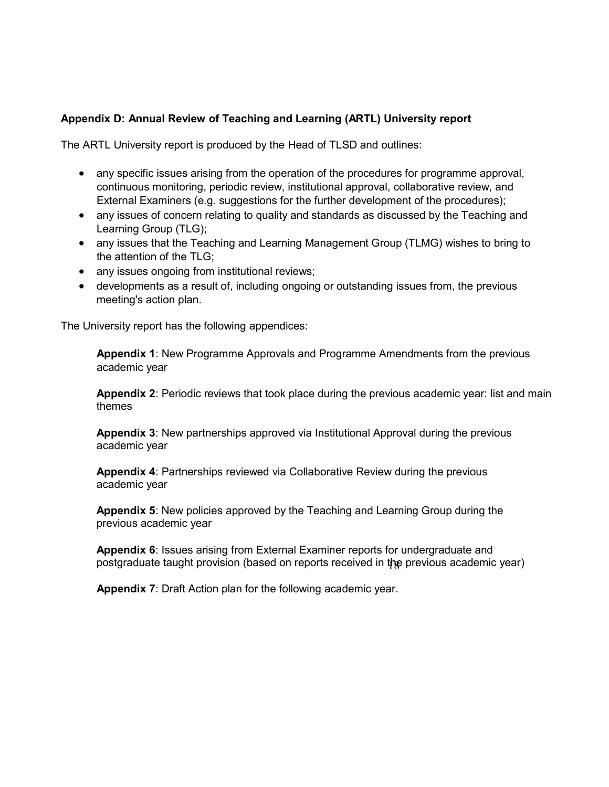## <span id="page-17-0"></span>**Appendix D: Annual Review of Teaching and Learning (ARTL) University report**

The ARTL University report is produced by the Head of TLSD and outlines:

- any specific issues arising from the operation of the procedures for programme approval, continuous monitoring, periodic review, institutional approval, collaborative review, and External Examiners (e.g. suggestions for the further development of the procedures);
- any issues of concern relating to quality and standards as discussed by the Teaching and Learning Group (TLG);
- any issues that the Teaching and Learning Management Group (TLMG) wishes to bring to the attention of the TLG;
- any issues ongoing from institutional reviews;
- developments as a result of, including ongoing or outstanding issues from, the previous meeting's action plan.

The University report has the following appendices:

**Appendix 1**: New Programme Approvals and Programme Amendments from the previous academic year

**Appendix 2**: Periodic reviews that took place during the previous academic year: list and main themes

**Appendix 3**: New partnerships approved via Institutional Approval during the previous academic year

**Appendix 4**: Partnerships reviewed via Collaborative Review during the previous academic year

**Appendix 5**: New policies approved by the Teaching and Learning Group during the previous academic year

postgraduate taught provision (based on reports received in the previous academic year) **Appendix 6**: Issues arising from External Examiner reports for undergraduate and

**Appendix 7**: Draft Action plan for the following academic year.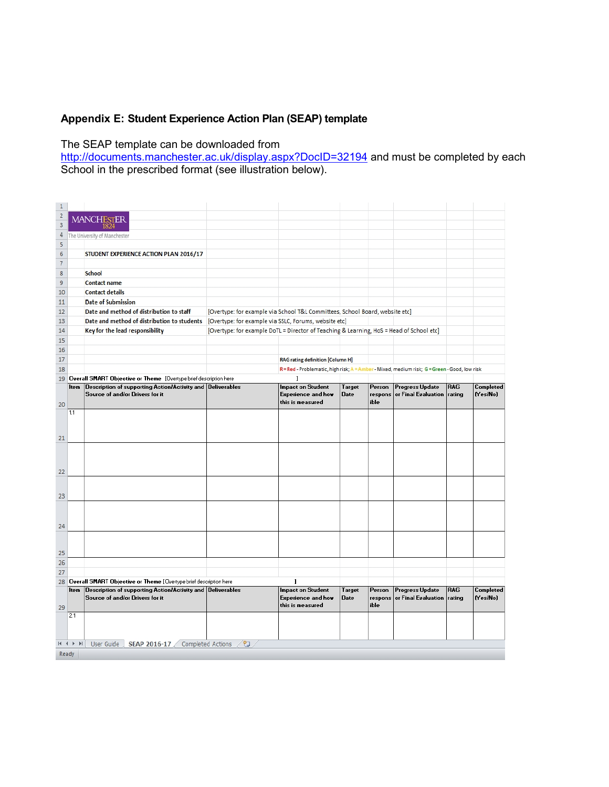# **Appendix E: Student Experience Action Plan (SEAP) template**

# The SEAP template can be downloaded from

<http://documents.manchester.ac.uk/display.aspx?DocID=32194> and must be completed by each School in the prescribed format (see illustration below).

| $\mathbf{1}$            |                           |                                                                                                   |                                                                                          |                                                                                              |        |         |                        |            |           |
|-------------------------|---------------------------|---------------------------------------------------------------------------------------------------|------------------------------------------------------------------------------------------|----------------------------------------------------------------------------------------------|--------|---------|------------------------|------------|-----------|
| $\overline{\mathbf{c}}$ |                           | <b>MANCHESTER</b>                                                                                 |                                                                                          |                                                                                              |        |         |                        |            |           |
| 3                       |                           |                                                                                                   |                                                                                          |                                                                                              |        |         |                        |            |           |
| 4                       |                           | The University of Manchester                                                                      |                                                                                          |                                                                                              |        |         |                        |            |           |
| 5                       |                           |                                                                                                   |                                                                                          |                                                                                              |        |         |                        |            |           |
| 6                       |                           | STUDENT EXPERIENCE ACTION PLAN 2016/17                                                            |                                                                                          |                                                                                              |        |         |                        |            |           |
| 7                       |                           |                                                                                                   |                                                                                          |                                                                                              |        |         |                        |            |           |
|                         |                           |                                                                                                   |                                                                                          |                                                                                              |        |         |                        |            |           |
| 8                       |                           | <b>School</b>                                                                                     |                                                                                          |                                                                                              |        |         |                        |            |           |
| $\overline{9}$          |                           | <b>Contact name</b>                                                                               |                                                                                          |                                                                                              |        |         |                        |            |           |
| 10                      |                           | <b>Contact details</b>                                                                            |                                                                                          |                                                                                              |        |         |                        |            |           |
| 11                      |                           | <b>Date of Submission</b>                                                                         |                                                                                          |                                                                                              |        |         |                        |            |           |
| 12                      |                           | Date and method of distribution to staff                                                          | [Overtype: for example via School T&L Committees, School Board, website etc]             |                                                                                              |        |         |                        |            |           |
| 13                      |                           | Date and method of distribution to students [Overtype: for example via SSLC, Forums, website etc] |                                                                                          |                                                                                              |        |         |                        |            |           |
| 14                      |                           | Key for the lead responsibility                                                                   | [Overtype: for example DoTL = Director of Teaching & Learning, HoS = Head of School etc] |                                                                                              |        |         |                        |            |           |
| 15                      |                           |                                                                                                   |                                                                                          |                                                                                              |        |         |                        |            |           |
| 16                      |                           |                                                                                                   |                                                                                          |                                                                                              |        |         |                        |            |           |
| 17                      |                           |                                                                                                   |                                                                                          | <b>RAG</b> rating definition [Column H]                                                      |        |         |                        |            |           |
| 18                      |                           |                                                                                                   |                                                                                          | R = Red - Problematic, high risk; A = Amber - Mixed, medium risk; G = Green - Good, low risk |        |         |                        |            |           |
|                         |                           | 19 Overall SMART Objective or Theme [Overtype brief description here                              |                                                                                          |                                                                                              |        |         |                        |            |           |
|                         |                           | Item Description of supporting Action/Activity and Deliverables                                   |                                                                                          | <b>Impact on Student</b>                                                                     | Target | Person  | Progress Update        | <b>RAG</b> | Completed |
|                         |                           | Source of and/or Drivers for it                                                                   |                                                                                          | <b>Experience and how</b>                                                                    | Date   | respons | or Final Evaluation    | rating     | (Yes/No)  |
| 20                      |                           |                                                                                                   |                                                                                          | this is measured                                                                             |        | ible    |                        |            |           |
|                         | 1.1                       |                                                                                                   |                                                                                          |                                                                                              |        |         |                        |            |           |
|                         |                           |                                                                                                   |                                                                                          |                                                                                              |        |         |                        |            |           |
|                         |                           |                                                                                                   |                                                                                          |                                                                                              |        |         |                        |            |           |
| 21                      |                           |                                                                                                   |                                                                                          |                                                                                              |        |         |                        |            |           |
|                         |                           |                                                                                                   |                                                                                          |                                                                                              |        |         |                        |            |           |
|                         |                           |                                                                                                   |                                                                                          |                                                                                              |        |         |                        |            |           |
|                         |                           |                                                                                                   |                                                                                          |                                                                                              |        |         |                        |            |           |
| 22                      |                           |                                                                                                   |                                                                                          |                                                                                              |        |         |                        |            |           |
|                         |                           |                                                                                                   |                                                                                          |                                                                                              |        |         |                        |            |           |
|                         |                           |                                                                                                   |                                                                                          |                                                                                              |        |         |                        |            |           |
| 23                      |                           |                                                                                                   |                                                                                          |                                                                                              |        |         |                        |            |           |
|                         |                           |                                                                                                   |                                                                                          |                                                                                              |        |         |                        |            |           |
|                         |                           |                                                                                                   |                                                                                          |                                                                                              |        |         |                        |            |           |
| 24                      |                           |                                                                                                   |                                                                                          |                                                                                              |        |         |                        |            |           |
|                         |                           |                                                                                                   |                                                                                          |                                                                                              |        |         |                        |            |           |
|                         |                           |                                                                                                   |                                                                                          |                                                                                              |        |         |                        |            |           |
| 25                      |                           |                                                                                                   |                                                                                          |                                                                                              |        |         |                        |            |           |
| 26                      |                           |                                                                                                   |                                                                                          |                                                                                              |        |         |                        |            |           |
| 27                      |                           |                                                                                                   |                                                                                          |                                                                                              |        |         |                        |            |           |
|                         |                           | 28 Overall SMART Objective or Theme [Overtype brief description here                              |                                                                                          | $\mathbf{I}$                                                                                 |        |         |                        |            |           |
|                         | <b>Item</b>               | Description of supporting Action/Activity and Deliverables                                        |                                                                                          | <b>Impact on Student</b>                                                                     | Target | Person  | <b>Progress Update</b> | RAG        | Completed |
|                         |                           | Source of and/or Drivers for it                                                                   |                                                                                          | <b>Experience and how</b>                                                                    | Date   | respons | or Final Evaluation    | rating     | (Yes/No)  |
| 29                      |                           |                                                                                                   |                                                                                          | this is measured                                                                             |        | ible    |                        |            |           |
|                         | 2.1                       |                                                                                                   |                                                                                          |                                                                                              |        |         |                        |            |           |
|                         |                           |                                                                                                   |                                                                                          |                                                                                              |        |         |                        |            |           |
|                         |                           |                                                                                                   |                                                                                          |                                                                                              |        |         |                        |            |           |
|                         | $M \leftarrow P$ <b>N</b> | User Guide<br>SEAP 2016-17                                                                        | Completed Actions<br>行                                                                   |                                                                                              |        |         |                        |            |           |
|                         | Ready                     |                                                                                                   |                                                                                          |                                                                                              |        |         |                        |            |           |
|                         |                           |                                                                                                   |                                                                                          |                                                                                              |        |         |                        |            |           |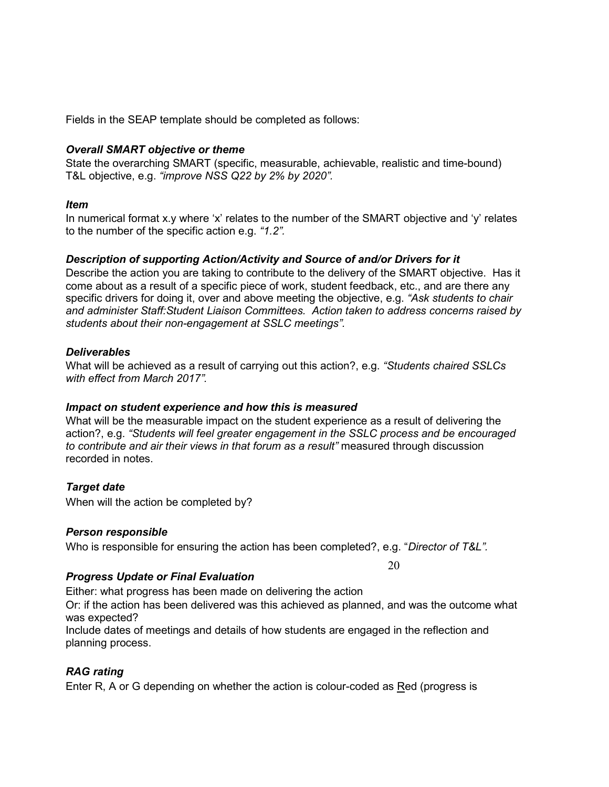Fields in the SEAP template should be completed as follows:

### *Overall SMART objective or theme*

State the overarching SMART (specific, measurable, achievable, realistic and time-bound) T&L objective, e.g. *"improve NSS Q22 by 2% by 2020".*

### *Item*

In numerical format x.y where 'x' relates to the number of the SMART objective and 'y' relates to the number of the specific action e.g. *"1.2".*

### *Description of supporting Action/Activity and Source of and/or Drivers for it*

Describe the action you are taking to contribute to the delivery of the SMART objective. Has it come about as a result of a specific piece of work, student feedback, etc., and are there any specific drivers for doing it, over and above meeting the objective, e.g. *"Ask students to chair and administer Staff:Student Liaison Committees. Action taken to address concerns raised by students about their non-engagement at SSLC meetings".*

### *Deliverables*

What will be achieved as a result of carrying out this action?, e.g. *"Students chaired SSLCs with effect from March 2017".*

### *Impact on student experience and how this is measured*

What will be the measurable impact on the student experience as a result of delivering the action?, e.g. *"Students will feel greater engagement in the SSLC process and be encouraged to contribute and air their views in that forum as a result"* measured through discussion recorded in notes.

# *Target date*

When will the action be completed by?

### *Person responsible*

Who is responsible for ensuring the action has been completed?, e.g. "*Director of T&L".*

20

# *Progress Update or Final Evaluation*

Either: what progress has been made on delivering the action

Or: if the action has been delivered was this achieved as planned, and was the outcome what was expected?

Include dates of meetings and details of how students are engaged in the reflection and planning process.

# *RAG rating*

Enter R, A or G depending on whether the action is colour-coded as Red (progress is